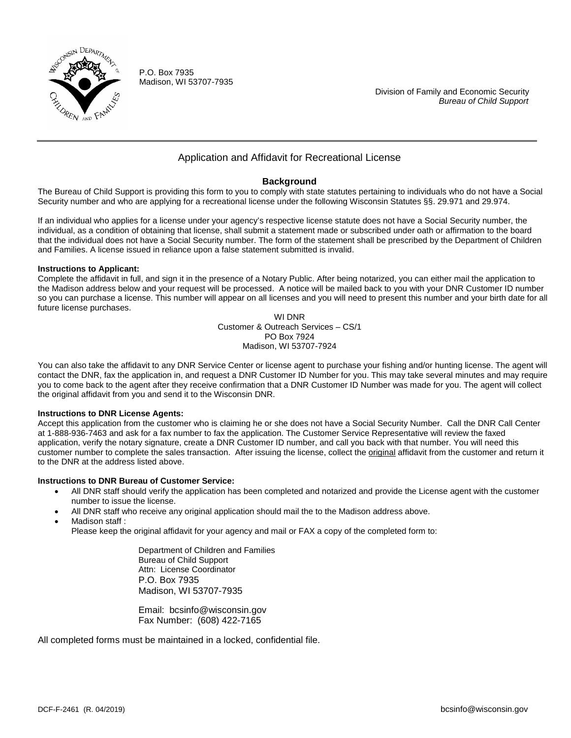

P.O. Box 7935 Madison, WI 53707-7935

 Division of Family and Economic Security  *Bureau of Child Support*

## Application and Affidavit for Recreational License

### **Background**

The Bureau of Child Support is providing this form to you to comply with state statutes pertaining to individuals who do not have a Social Security number and who are applying for a recreational license under the following Wisconsin Statutes §§. 29.971 and 29.974.

If an individual who applies for a license under your agency's respective license statute does not have a Social Security number, the individual, as a condition of obtaining that license, shall submit a statement made or subscribed under oath or affirmation to the board that the individual does not have a Social Security number. The form of the statement shall be prescribed by the Department of Children and Families. A license issued in reliance upon a false statement submitted is invalid.

#### **Instructions to Applicant:**

Complete the affidavit in full, and sign it in the presence of a Notary Public. After being notarized, you can either mail the application to the Madison address below and your request will be processed. A notice will be mailed back to you with your DNR Customer ID number so you can purchase a license. This number will appear on all licenses and you will need to present this number and your birth date for all future license purchases.

WI DNR Customer & Outreach Services – CS/1 PO Box 7924 Madison, WI 53707-7924

You can also take the affidavit to any DNR Service Center or license agent to purchase your fishing and/or hunting license. The agent will contact the DNR, fax the application in, and request a DNR Customer ID Number for you. This may take several minutes and may require you to come back to the agent after they receive confirmation that a DNR Customer ID Number was made for you. The agent will collect the original affidavit from you and send it to the Wisconsin DNR.

#### **Instructions to DNR License Agents:**

Accept this application from the customer who is claiming he or she does not have a Social Security Number. Call the DNR Call Center at 1-888-936-7463 and ask for a fax number to fax the application. The Customer Service Representative will review the faxed application, verify the notary signature, create a DNR Customer ID number, and call you back with that number. You will need this customer number to complete the sales transaction. After issuing the license, collect the original affidavit from the customer and return it to the DNR at the address listed above.

#### **Instructions to DNR Bureau of Customer Service:**

- All DNR staff should verify the application has been completed and notarized and provide the License agent with the customer number to issue the license.
- All DNR staff who receive any original application should mail the to the Madison address above.
- Madison staff:
	- Please keep the original affidavit for your agency and mail or FAX a copy of the completed form to:

Department of Children and Families Bureau of Child Support Attn: License Coordinator P.O. Box 7935 Madison, WI 53707-7935

Email: bcsinfo@wisconsin.gov Fax Number: (608) 422-7165

All completed forms must be maintained in a locked, confidential file.